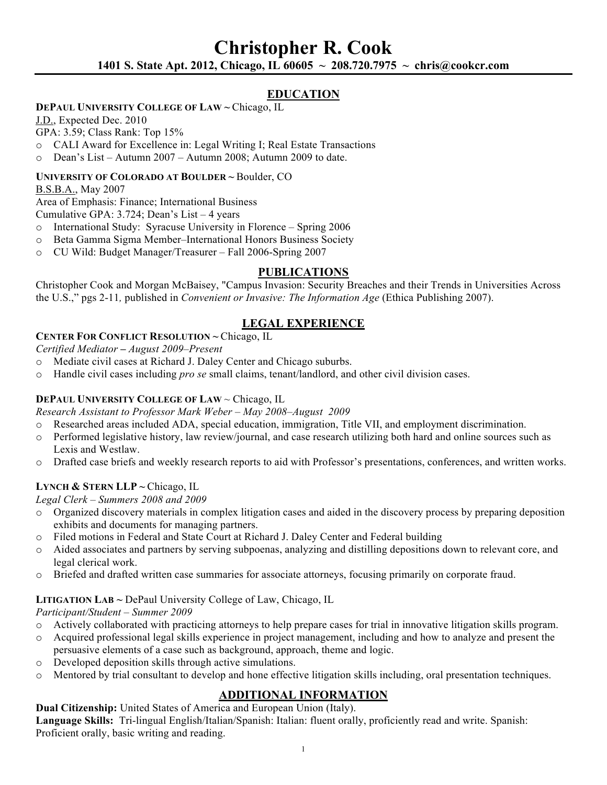# **Christopher R. Cook 1401 S. State Apt. 2012, Chicago, IL 60605 ~ 208.720.7975 ~ chris@cookcr.com**

## **EDUCATION**

### **DEPAUL UNIVERSITY COLLEGE OF LAW ~** Chicago, IL

J.D., Expected Dec. 2010

GPA: 3.59; Class Rank: Top 15%

- o CALI Award for Excellence in: Legal Writing I; Real Estate Transactions
- o Dean's List Autumn 2007 Autumn 2008; Autumn 2009 to date.

#### **UNIVERSITY OF COLORADO AT BOULDER ~** Boulder, CO

B.S.B.A., May 2007

Area of Emphasis: Finance; International Business

Cumulative GPA: 3.724; Dean's List – 4 years

- o International Study: Syracuse University in Florence Spring 2006
- o Beta Gamma Sigma Member–International Honors Business Society
- o CU Wild: Budget Manager/Treasurer Fall 2006-Spring 2007

## **PUBLICATIONS**

Christopher Cook and Morgan McBaisey, "Campus Invasion: Security Breaches and their Trends in Universities Across the U.S.," pgs 2-11*,* published in *Convenient or Invasive: The Information Age* (Ethica Publishing 2007).

## **LEGAL EXPERIENCE**

### **CENTER FOR CONFLICT RESOLUTION ~** Chicago, IL

*Certified Mediator* **–** *August 2009–Present*

- o Mediate civil cases at Richard J. Daley Center and Chicago suburbs.
- o Handle civil cases including *pro se* small claims, tenant/landlord, and other civil division cases.

### **DEPAUL UNIVERSITY COLLEGE OF LAW** ~ Chicago, IL

*Research Assistant to Professor Mark Weber – May 2008–August 2009* 

- o Researched areas included ADA, special education, immigration, Title VII, and employment discrimination.
- o Performed legislative history, law review/journal, and case research utilizing both hard and online sources such as Lexis and Westlaw.
- o Drafted case briefs and weekly research reports to aid with Professor's presentations, conferences, and written works.

## **LYNCH & STERN LLP ~** Chicago, IL

*Legal Clerk – Summers 2008 and 2009*

- o Organized discovery materials in complex litigation cases and aided in the discovery process by preparing deposition exhibits and documents for managing partners.
- o Filed motions in Federal and State Court at Richard J. Daley Center and Federal building
- o Aided associates and partners by serving subpoenas, analyzing and distilling depositions down to relevant core, and legal clerical work.
- o Briefed and drafted written case summaries for associate attorneys, focusing primarily on corporate fraud.

### **LITIGATION LAB ~** DePaul University College of Law, Chicago, IL

*Participant/Student – Summer 2009*

- o Actively collaborated with practicing attorneys to help prepare cases for trial in innovative litigation skills program.
- o Acquired professional legal skills experience in project management, including and how to analyze and present the persuasive elements of a case such as background, approach, theme and logic.
- o Developed deposition skills through active simulations.
- o Mentored by trial consultant to develop and hone effective litigation skills including, oral presentation techniques.

## **ADDITIONAL INFORMATION**

**Dual Citizenship:** United States of America and European Union (Italy).

**Language Skills:** Tri-lingual English/Italian/Spanish: Italian: fluent orally, proficiently read and write. Spanish: Proficient orally, basic writing and reading.